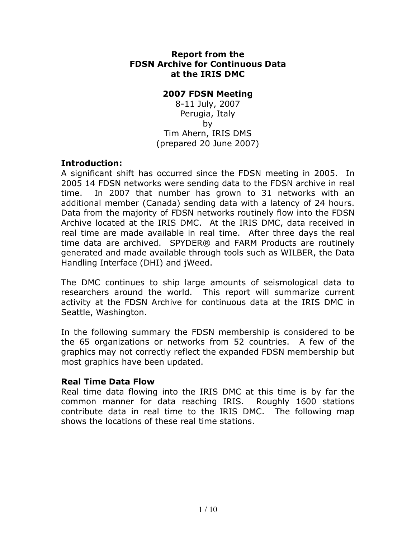#### **Report from the FDSN Archive for Continuous Data at the IRIS DMC**

### **2007 FDSN Meeting**

8-11 July, 2007 Perugia, Italy by Tim Ahern, IRIS DMS (prepared 20 June 2007)

## **Introduction:**

A significant shift has occurred since the FDSN meeting in 2005. In 2005 14 FDSN networks were sending data to the FDSN archive in real time. In 2007 that number has grown to 31 networks with an additional member (Canada) sending data with a latency of 24 hours. Data from the majority of FDSN networks routinely flow into the FDSN Archive located at the IRIS DMC. At the IRIS DMC, data received in real time are made available in real time. After three days the real time data are archived. SPYDER® and FARM Products are routinely generated and made available through tools such as WILBER, the Data Handling Interface (DHI) and jWeed.

The DMC continues to ship large amounts of seismological data to researchers around the world. This report will summarize current activity at the FDSN Archive for continuous data at the IRIS DMC in Seattle, Washington.

In the following summary the FDSN membership is considered to be the 65 organizations or networks from 52 countries. A few of the graphics may not correctly reflect the expanded FDSN membership but most graphics have been updated.

#### **Real Time Data Flow**

Real time data flowing into the IRIS DMC at this time is by far the common manner for data reaching IRIS. Roughly 1600 stations contribute data in real time to the IRIS DMC. The following map shows the locations of these real time stations.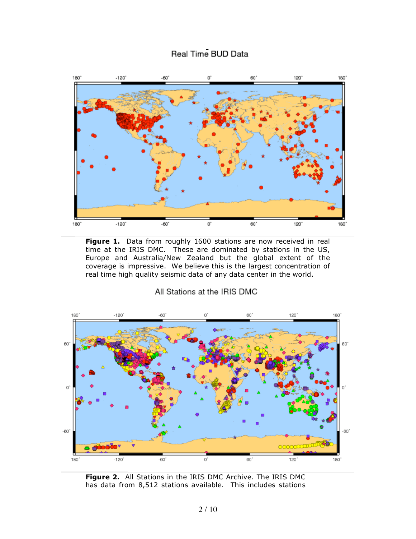# Real Time BUD Data



**Figure 1.** Data from roughly 1600 stations are now received in real time at the IRIS DMC. These are dominated by stations in the US, Europe and Australia/New Zealand but the global extent of the coverage is impressive. We believe this is the largest concentration of real time high quality seismic data of any data center in the world.

All Stations at the IRIS DMC



**Figure 2.** All Stations in the IRIS DMC Archive. The IRIS DMC has data from 8,512 stations available. This includes stations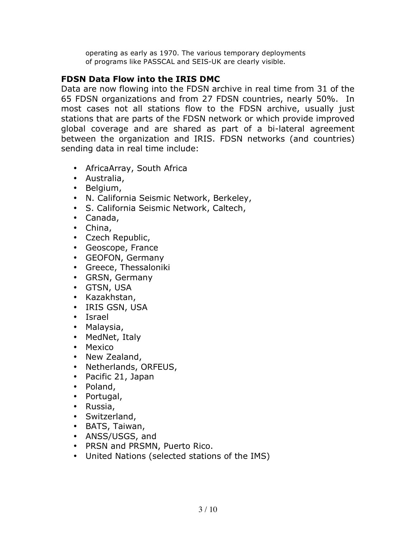operating as early as 1970. The various temporary deployments of programs like PASSCAL and SEIS-UK are clearly visible.

# **FDSN Data Flow into the IRIS DMC**

Data are now flowing into the FDSN archive in real time from 31 of the 65 FDSN organizations and from 27 FDSN countries, nearly 50%. In most cases not all stations flow to the FDSN archive, usually just stations that are parts of the FDSN network or which provide improved global coverage and are shared as part of a bi-lateral agreement between the organization and IRIS. FDSN networks (and countries) sending data in real time include:

- AfricaArray, South Africa
- Australia,
- Belgium,
- N. California Seismic Network, Berkeley,
- S. California Seismic Network, Caltech,
- Canada,
- China,
- Czech Republic,
- Geoscope, France
- GEOFON, Germany
- Greece, Thessaloniki
- GRSN, Germany
- GTSN, USA
- Kazakhstan,
- IRIS GSN, USA
- Israel
- Malaysia,
- MedNet, Italy
- Mexico
- New Zealand,
- Netherlands, ORFEUS,
- Pacific 21, Japan
- Poland,
- Portugal,
- Russia,
- Switzerland,
- BATS, Taiwan,
- ANSS/USGS, and
- PRSN and PRSMN, Puerto Rico.
- United Nations (selected stations of the IMS)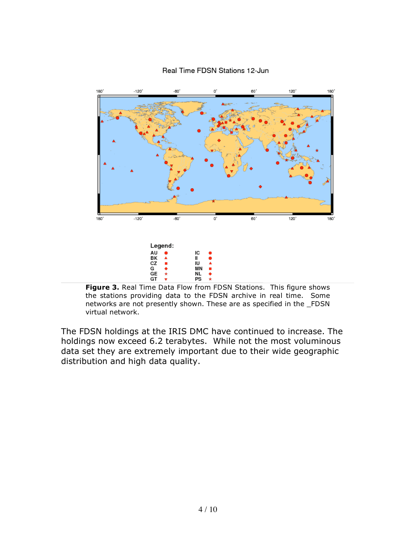

#### Real Time FDSN Stations 12-Jun

**Figure 3.** Real Time Data Flow from FDSN Stations. This figure shows the stations providing data to the FDSN archive in real time. Some networks are not presently shown. These are as specified in the \_FDSN virtual network.

The FDSN holdings at the IRIS DMC have continued to increase. The holdings now exceed 6.2 terabytes. While not the most voluminous data set they are extremely important due to their wide geographic distribution and high data quality.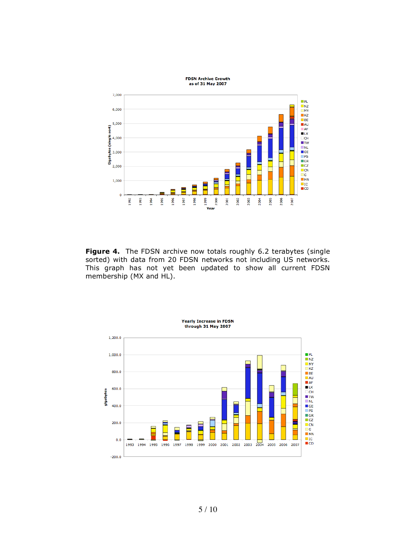

**Figure 4.** The FDSN archive now totals roughly 6.2 terabytes (single sorted) with data from 20 FDSN networks not including US networks. This graph has not yet been updated to show all current FDSN membership (MX and HL).

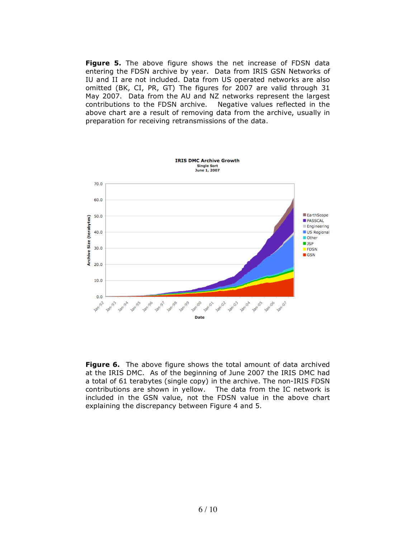**Figure 5.** The above figure shows the net increase of FDSN data entering the FDSN archive by year. Data from IRIS GSN Networks of IU and II are not included. Data from US operated networks are also omitted (BK, CI, PR, GT) The figures for 2007 are valid through 31 May 2007. Data from the AU and NZ networks represent the largest contributions to the FDSN archive. Negative values reflected in the above chart are a result of removing data from the archive, usually in preparation for receiving retransmissions of the data.



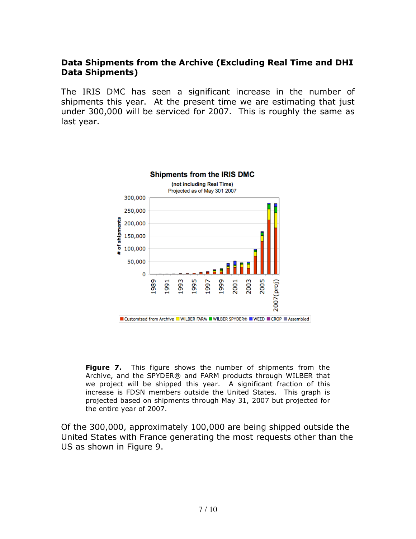# **Data Shipments from the Archive (Excluding Real Time and DHI Data Shipments)**

The IRIS DMC has seen a significant increase in the number of shipments this year. At the present time we are estimating that just under 300,000 will be serviced for 2007. This is roughly the same as last year.



**Figure 7.** This figure shows the number of shipments from the Archive, and the SPYDER® and FARM products through WILBER that we project will be shipped this year. A significant fraction of this increase is FDSN members outside the United States. This graph is projected based on shipments through May 31, 2007 but projected for the entire year of 2007.

Of the 300,000, approximately 100,000 are being shipped outside the United States with France generating the most requests other than the US as shown in Figure 9.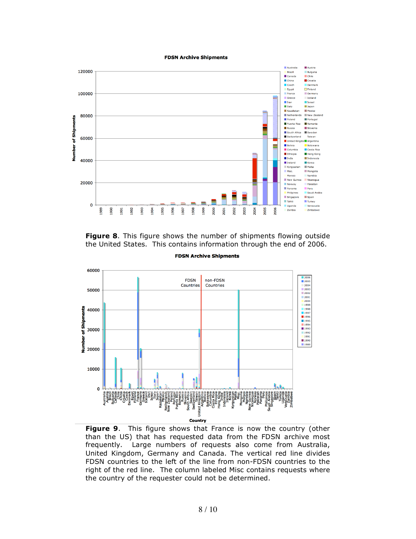#### **FDSN Archive Shipments**



**Figure 8**. This figure shows the number of shipments flowing outside the United States. This contains information through the end of 2006.

**FDSN Archive Shipments** 



**Figure 9**. This figure shows that France is now the country (other than the US) that has requested data from the FDSN archive most frequently. Large numbers of requests also come from Australia, United Kingdom, Germany and Canada. The vertical red line divides FDSN countries to the left of the line from non-FDSN countries to the right of the red line. The column labeled Misc contains requests where the country of the requester could not be determined.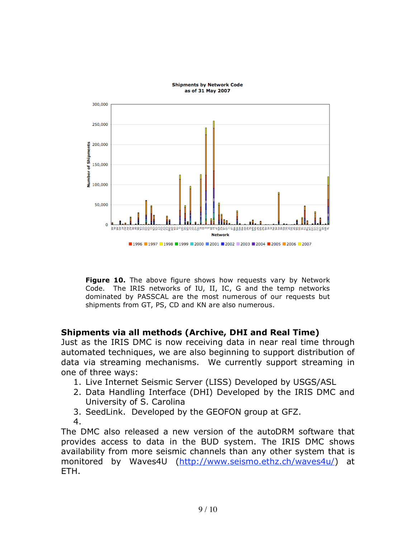

**Figure 10.** The above figure shows how requests vary by Network Code. The IRIS networks of IU, II, IC, G and the temp networks dominated by PASSCAL are the most numerous of our requests but shipments from GT, PS, CD and KN are also numerous.

# **Shipments via all methods (Archive, DHI and Real Time)**

Just as the IRIS DMC is now receiving data in near real time through automated techniques, we are also beginning to support distribution of data via streaming mechanisms. We currently support streaming in one of three ways:

- 1. Live Internet Seismic Server (LISS) Developed by USGS/ASL
- 2. Data Handling Interface (DHI) Developed by the IRIS DMC and University of S. Carolina
- 3. SeedLink. Developed by the GEOFON group at GFZ.
- 4.

The DMC also released a new version of the autoDRM software that provides access to data in the BUD system. The IRIS DMC shows availability from more seismic channels than any other system that is monitored by Waves4U (http://www.seismo.ethz.ch/waves4u/) at ETH.